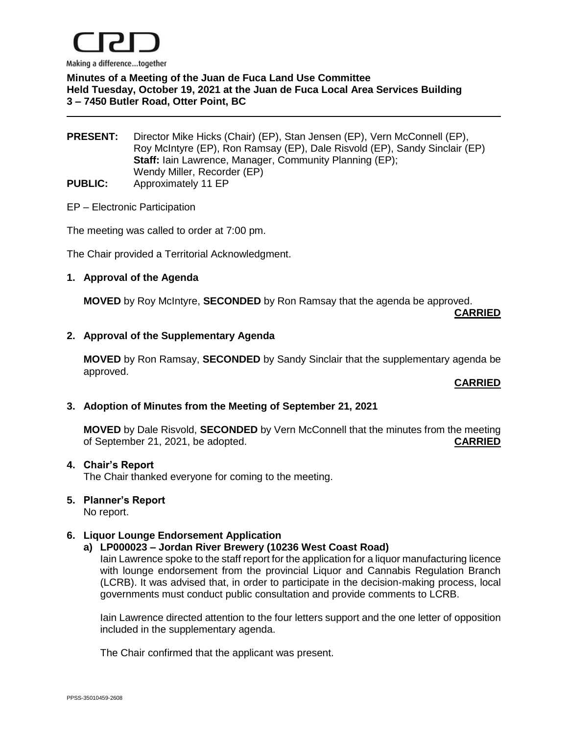

**Minutes of a Meeting of the Juan de Fuca Land Use Committee Held Tuesday, October 19, 2021 at the Juan de Fuca Local Area Services Building 3 – 7450 Butler Road, Otter Point, BC**

**PRESENT:** Director Mike Hicks (Chair) (EP), Stan Jensen (EP), Vern McConnell (EP), Roy McIntyre (EP), Ron Ramsay (EP), Dale Risvold (EP), Sandy Sinclair (EP) **Staff:** Iain Lawrence, Manager, Community Planning (EP); Wendy Miller, Recorder (EP) **PUBLIC:** Approximately 11 EP

### EP – Electronic Participation

The meeting was called to order at 7:00 pm.

The Chair provided a Territorial Acknowledgment.

### **1. Approval of the Agenda**

**MOVED** by Roy McIntyre, **SECONDED** by Ron Ramsay that the agenda be approved.

**CARRIED**

## **2. Approval of the Supplementary Agenda**

**MOVED** by Ron Ramsay, **SECONDED** by Sandy Sinclair that the supplementary agenda be approved.

#### **CARRIED**

#### **3. Adoption of Minutes from the Meeting of September 21, 2021**

**MOVED** by Dale Risvold, **SECONDED** by Vern McConnell that the minutes from the meeting of September 21, 2021, be adopted. **CARRIED**

#### **4. Chair's Report**

The Chair thanked everyone for coming to the meeting.

#### **5. Planner's Report**

No report.

### **6. Liquor Lounge Endorsement Application**

#### **a) LP000023 – Jordan River Brewery (10236 West Coast Road)**

Iain Lawrence spoke to the staff report for the application for a liquor manufacturing licence with lounge endorsement from the provincial Liquor and Cannabis Regulation Branch (LCRB). It was advised that, in order to participate in the decision-making process, local governments must conduct public consultation and provide comments to LCRB.

Iain Lawrence directed attention to the four letters support and the one letter of opposition included in the supplementary agenda.

The Chair confirmed that the applicant was present.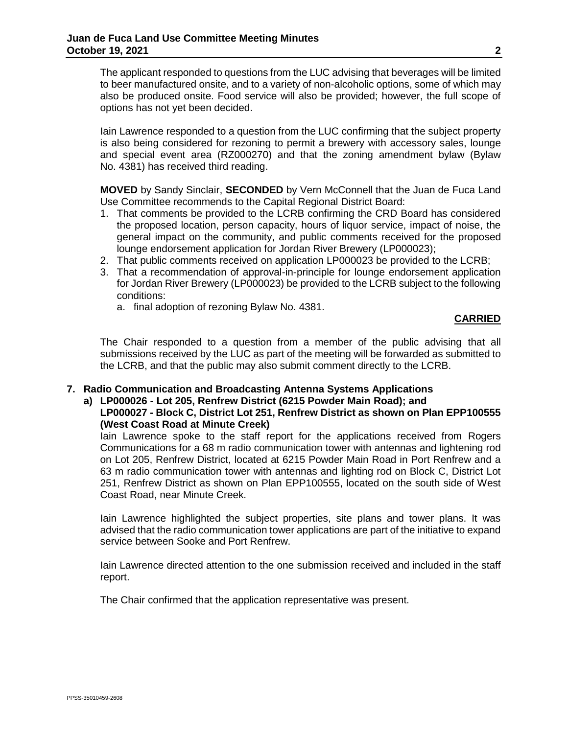The applicant responded to questions from the LUC advising that beverages will be limited to beer manufactured onsite, and to a variety of non-alcoholic options, some of which may also be produced onsite. Food service will also be provided; however, the full scope of options has not yet been decided.

Iain Lawrence responded to a question from the LUC confirming that the subject property is also being considered for rezoning to permit a brewery with accessory sales, lounge and special event area (RZ000270) and that the zoning amendment bylaw (Bylaw No. 4381) has received third reading.

**MOVED** by Sandy Sinclair, **SECONDED** by Vern McConnell that the Juan de Fuca Land Use Committee recommends to the Capital Regional District Board:

- 1. That comments be provided to the LCRB confirming the CRD Board has considered the proposed location, person capacity, hours of liquor service, impact of noise, the general impact on the community, and public comments received for the proposed lounge endorsement application for Jordan River Brewery (LP000023);
- 2. That public comments received on application LP000023 be provided to the LCRB;
- 3. That a recommendation of approval-in-principle for lounge endorsement application for Jordan River Brewery (LP000023) be provided to the LCRB subject to the following conditions:
	- a. final adoption of rezoning Bylaw No. 4381.

## **CARRIED**

The Chair responded to a question from a member of the public advising that all submissions received by the LUC as part of the meeting will be forwarded as submitted to the LCRB, and that the public may also submit comment directly to the LCRB.

### **7. Radio Communication and Broadcasting Antenna Systems Applications**

## **a) LP000026 - Lot 205, Renfrew District (6215 Powder Main Road); and**

## **LP000027 - Block C, District Lot 251, Renfrew District as shown on Plan EPP100555 (West Coast Road at Minute Creek)**

Iain Lawrence spoke to the staff report for the applications received from Rogers Communications for a 68 m radio communication tower with antennas and lightening rod on Lot 205, Renfrew District, located at 6215 Powder Main Road in Port Renfrew and a 63 m radio communication tower with antennas and lighting rod on Block C, District Lot 251, Renfrew District as shown on Plan EPP100555, located on the south side of West Coast Road, near Minute Creek.

Iain Lawrence highlighted the subject properties, site plans and tower plans. It was advised that the radio communication tower applications are part of the initiative to expand service between Sooke and Port Renfrew.

Iain Lawrence directed attention to the one submission received and included in the staff report.

The Chair confirmed that the application representative was present.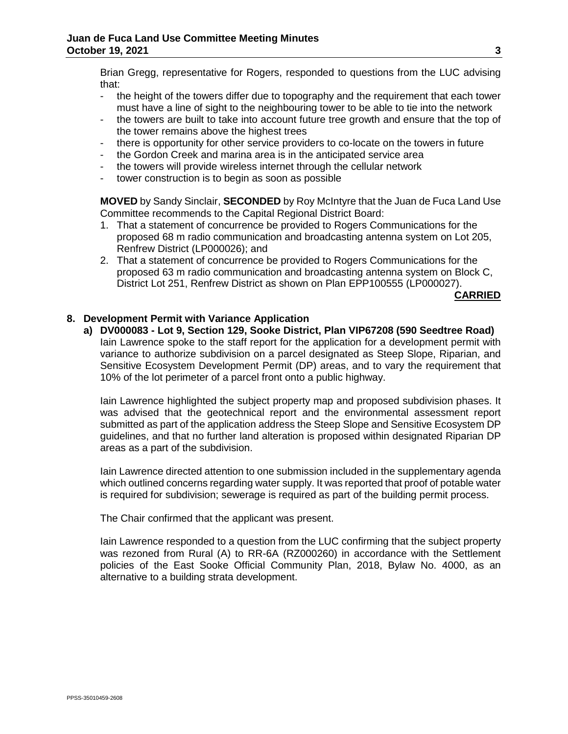Brian Gregg, representative for Rogers, responded to questions from the LUC advising that:

- the height of the towers differ due to topography and the requirement that each tower must have a line of sight to the neighbouring tower to be able to tie into the network
- the towers are built to take into account future tree growth and ensure that the top of the tower remains above the highest trees
- there is opportunity for other service providers to co-locate on the towers in future
- the Gordon Creek and marina area is in the anticipated service area
- the towers will provide wireless internet through the cellular network
- tower construction is to begin as soon as possible

**MOVED** by Sandy Sinclair, **SECONDED** by Roy McIntyre that the Juan de Fuca Land Use Committee recommends to the Capital Regional District Board:

- 1. That a statement of concurrence be provided to Rogers Communications for the proposed 68 m radio communication and broadcasting antenna system on Lot 205, Renfrew District (LP000026); and
- 2. That a statement of concurrence be provided to Rogers Communications for the proposed 63 m radio communication and broadcasting antenna system on Block C, District Lot 251, Renfrew District as shown on Plan EPP100555 (LP000027).

## **CARRIED**

# **8. Development Permit with Variance Application**

**a) DV000083 - Lot 9, Section 129, Sooke District, Plan VIP67208 (590 Seedtree Road)** Iain Lawrence spoke to the staff report for the application for a development permit with variance to authorize subdivision on a parcel designated as Steep Slope, Riparian, and Sensitive Ecosystem Development Permit (DP) areas, and to vary the requirement that 10% of the lot perimeter of a parcel front onto a public highway.

Iain Lawrence highlighted the subject property map and proposed subdivision phases. It was advised that the geotechnical report and the environmental assessment report submitted as part of the application address the Steep Slope and Sensitive Ecosystem DP guidelines, and that no further land alteration is proposed within designated Riparian DP areas as a part of the subdivision.

Iain Lawrence directed attention to one submission included in the supplementary agenda which outlined concerns regarding water supply. It was reported that proof of potable water is required for subdivision; sewerage is required as part of the building permit process.

The Chair confirmed that the applicant was present.

Iain Lawrence responded to a question from the LUC confirming that the subject property was rezoned from Rural (A) to RR-6A (RZ000260) in accordance with the Settlement policies of the East Sooke Official Community Plan, 2018, Bylaw No. 4000, as an alternative to a building strata development.